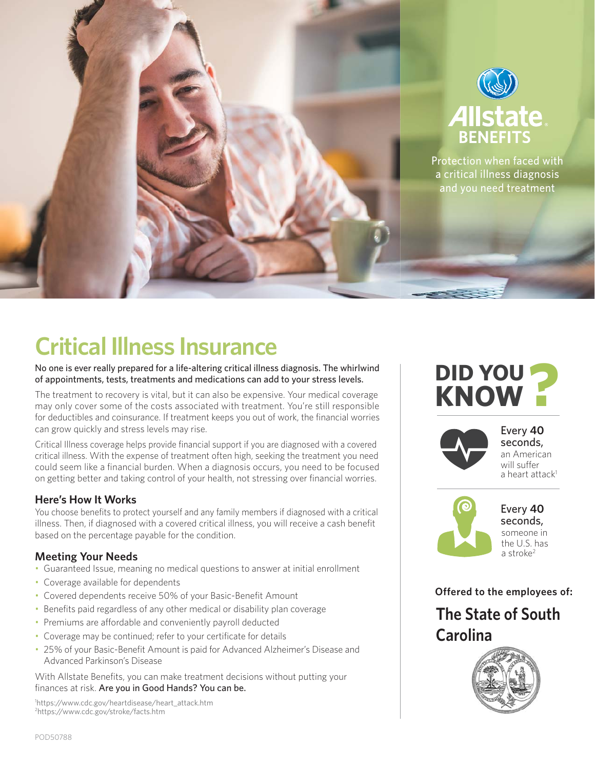

# **Critical Illness Insurance**

No one is ever really prepared for a life-altering critical illness diagnosis. The whirlwind of appointments, tests, treatments and medications can add to your stress levels.

The treatment to recovery is vital, but it can also be expensive. Your medical coverage may only cover some of the costs associated with treatment. You're still responsible for deductibles and coinsurance. If treatment keeps you out of work, the financial worries can grow quickly and stress levels may rise.

Critical Illness coverage helps provide financial support if you are diagnosed with a covered critical illness. With the expense of treatment often high, seeking the treatment you need could seem like a financial burden. When a diagnosis occurs, you need to be focused on getting better and taking control of your health, not stressing over financial worries.

#### **Here's How It Works**

You choose benefits to protect yourself and any family members if diagnosed with a critical illness. Then, if diagnosed with a covered critical illness, you will receive a cash benefit based on the percentage payable for the condition.

### **Meeting Your Needs**

- Guaranteed Issue, meaning no medical questions to answer at initial enrollment
- Coverage available for dependents
- Covered dependents receive 50% of your Basic-Benefit Amount
- Benefits paid regardless of any other medical or disability plan coverage
- Premiums are affordable and conveniently payroll deducted
- Coverage may be continued; refer to your certificate for details
- 25% of your Basic-Benefit Amount is paid for Advanced Alzheimer's Disease and Advanced Parkinson's Disease

With Allstate Benefits, you can make treatment decisions without putting your finances at risk. Are you in Good Hands? You can be.

1 https://www.cdc.gov/heartdisease/heart\_attack.htm 2 https://www.cdc.gov/stroke/facts.htm

## **DID YOU KNOW**



Every **40**  seconds, an American will suffer a heart attack<sup>1</sup>



Every **40**  seconds, someone in the U.S. has a stroke<sup>2</sup>

**Offered to the employees of:**

**The State of South Carolina**

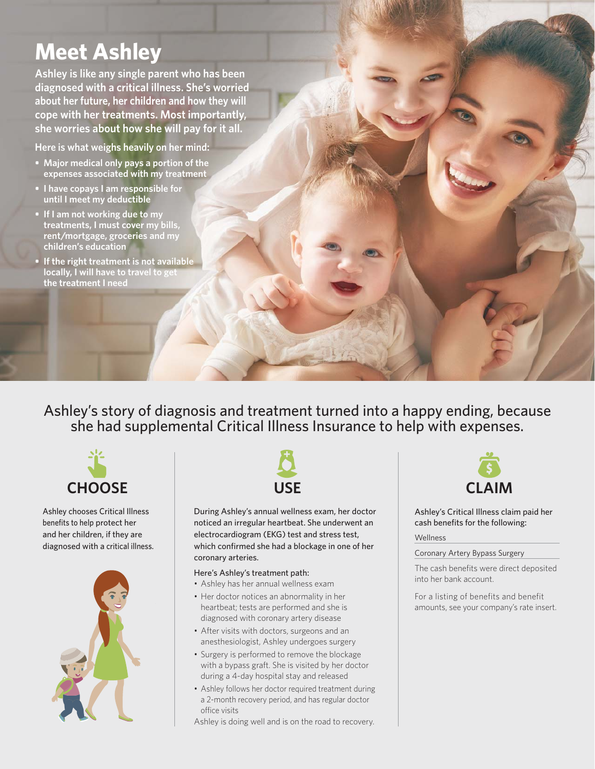## **Meet Ashley**

**Ashley is like any single parent who has been diagnosed with a critical illness. She's worried about her future, her children and how they will cope with her treatments. Most importantly, she worries about how she will pay for it all.**

**Here is what weighs heavily on her mind:**

- **Major medical only pays a portion of the expenses associated with my treatment**
- **I have copays I am responsible for until I meet my deductible**
- **If I am not working due to my treatments, I must cover my bills, rent/mortgage, groceries and my children's education**
- **If the right treatment is not available locally, I will have to travel to get the treatment I need**

Ashley's story of diagnosis and treatment turned into a happy ending, because she had supplemental Critical Illness Insurance to help with expenses.



Ashley chooses Critical Illness benefits to help protect her and her children, if they are diagnosed with a critical illness.





During Ashley's annual wellness exam, her doctor noticed an irregular heartbeat. She underwent an electrocardiogram (EKG) test and stress test, which confirmed she had a blockage in one of her coronary arteries.

#### Here's Ashley's treatment path:

- Ashley has her annual wellness exam
- Her doctor notices an abnormality in her heartbeat; tests are performed and she is diagnosed with coronary artery disease
- After visits with doctors, surgeons and an anesthesiologist, Ashley undergoes surgery
- Surgery is performed to remove the blockage with a bypass graft. She is visited by her doctor during a 4-day hospital stay and released
- Ashley follows her doctor required treatment during a 2-month recovery period, and has regular doctor office visits

Ashley is doing well and is on the road to recovery.



Ashley's Critical Illness claim paid her cash benefits for the following:

#### Wellness

#### Coronary Artery Bypass Surgery

The cash benefits were direct deposited into her bank account.

For a listing of benefits and benefit amounts, see your company's rate insert.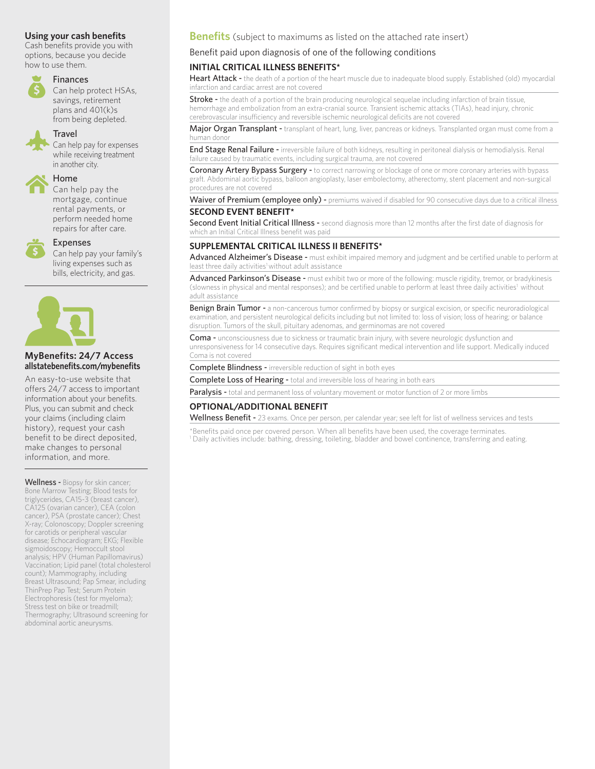#### **Using your cash benefits**

Cash benefits provide you with options, because you decide how to use them.



#### Finances

 Can help protect HSAs, savings, retirement plans and 401(k)s from being depleted.

#### **Travel**

 Can help pay for expenses while receiving treatment in another city.

### Home

 Can help pay the mortgage, continue rental payments, or perform needed home repairs for after care.

#### Expenses

Can help pay your family's living expenses such as bills, electricity, and gas.



#### **MyBenefits: 24/7 Access allstatebenefi ts.com/mybenefi ts**

An easy-to-use website that offers 24/7 access to important information about your benefits. Plus, you can submit and check your claims (including claim history), request your cash benefit to be direct deposited, make changes to personal information, and more.

**Wellness -** Biopsy for skin cancer; Bone Marrow Testing; Blood tests for triglycerides, CA15-3 (breast cancer), CA125 (ovarian cancer), CEA (colon cancer), PSA (prostate cancer); Chest X-ray; Colonoscopy; Doppler screening for carotids or peripheral vascular disease; Echocardiogram; EKG; Flexible sigmoidoscopy; Hemoccult stool analysis; HPV (Human Papillomavirus) Vaccination; Lipid panel (total cholesterol count); Mammography, including Breast Ultrasound; Pap Smear, including ThinPrep Pap Test; Serum Protein Electrophoresis (test for myeloma); Stress test on bike or treadmill; Thermography; Ultrasound screening for abdominal aortic aneurysms.

#### **Benefits** (subject to maximums as listed on the attached rate insert)

#### Benefit paid upon diagnosis of one of the following conditions

#### **INITIAL CRITICAL ILLNESS BENEFITS\***

Heart Attack - the death of a portion of the heart muscle due to inadequate blood supply. Established (old) myocardial infarction and cardiac arrest are not covered

Stroke - the death of a portion of the brain producing neurological sequelae including infarction of brain tissue, hemorrhage and embolization from an extra-cranial source. Transient ischemic attacks (TIAs), head injury, chronic cerebrovascular insufficiency and reversible ischemic neurological deficits are not covered

Major Organ Transplant - transplant of heart, lung, liver, pancreas or kidneys. Transplanted organ must come from a human donor

End Stage Renal Failure - irreversible failure of both kidneys, resulting in peritoneal dialysis or hemodialysis. Renal failure caused by traumatic events, including surgical trauma, are not covered

Coronary Artery Bypass Surgery - to correct narrowing or blockage of one or more coronary arteries with bypass graft. Abdominal aortic bypass, balloon angioplasty, laser embolectomy, atherectomy, stent placement and non-surgical procedures are not covered

Waiver of Premium (employee only) - premiums waived if disabled for 90 consecutive days due to a critical illness **SECOND EVENT BENEFIT\***

Second Event Initial Critical Illness - second diagnosis more than 12 months after the first date of diagnosis for which an Initial Critical Illness benefit was paid

#### **SUPPLEMENTAL CRITICAL ILLNESS II BENEFITS\***

Advanced Alzheimer's Disease - must exhibit impaired memory and judgment and be certified unable to perform at least three daily activities<sup>1</sup> without adult assistance

Advanced Parkinson's Disease - must exhibit two or more of the following: muscle rigidity, tremor, or bradykinesis (slowness in physical and mental responses); and be certified unable to perform at least three daily activities1 without adult assistance

Benign Brain Tumor - a non-cancerous tumor confirmed by biopsy or surgical excision, or specific neuroradiological examination, and persistent neurological deficits including but not limited to: loss of vision; loss of hearing; or balance disruption. Tumors of the skull, pituitary adenomas, and germinomas are not covered

Coma - unconsciousness due to sickness or traumatic brain injury, with severe neurologic dysfunction and unresponsiveness for 14 consecutive days. Requires significant medical intervention and life support. Medically induced Coma is not covered

Complete Blindness - irreversible reduction of sight in both eyes

Complete Loss of Hearing - total and irreversible loss of hearing in both ears

Paralysis - total and permanent loss of voluntary movement or motor function of 2 or more limbs

#### **OPTIONAL/ADDITIONAL BENEFIT**

Wellness Benefit - 23 exams. Once per person, per calendar year; see left for list of wellness services and tests

\*Benefits paid once per covered person. When all benefits have been used, the coverage terminates. 1 Daily activities include: bathing, dressing, toileting, bladder and bowel continence, transferring and eating.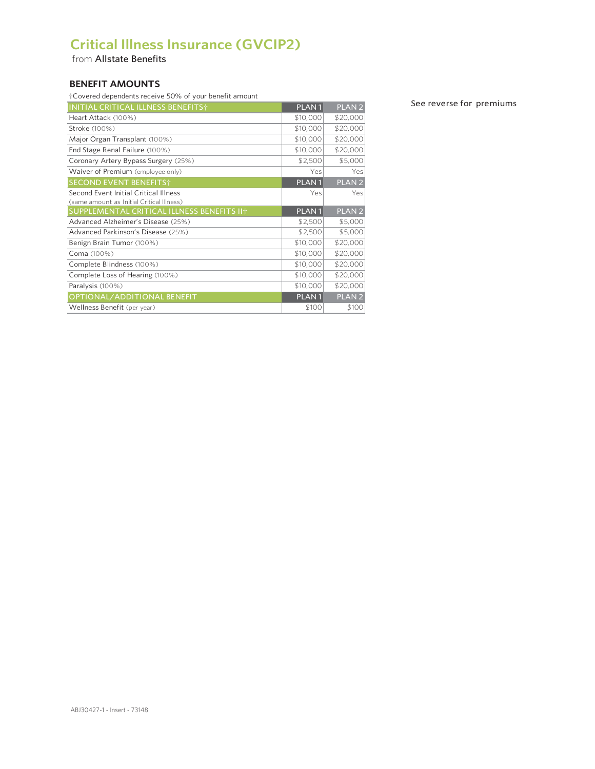### **Critical Illness Insurance (GVCIP2)**

from Allstate Benefits

#### **BENEFIT AMOUNTS**

| <b>BENEFIT AMOUNTS</b>                                 |                   |                   |  |  |
|--------------------------------------------------------|-------------------|-------------------|--|--|
| †Covered dependents receive 50% of your benefit amount |                   |                   |  |  |
| INITIAL CRITICAL ILLNESS BENEFITS+                     | PLAN <sub>1</sub> | PLAN <sub>2</sub> |  |  |
| Heart Attack (100%)                                    | \$10,000          | \$20,000          |  |  |
| Stroke (100%)                                          | \$10,000          | \$20,000          |  |  |
| Major Organ Transplant (100%)                          | \$10,000          | \$20,000          |  |  |
| End Stage Renal Failure (100%)                         | \$10,000          | \$20,000          |  |  |
| Coronary Artery Bypass Surgery (25%)                   | \$2,500           | \$5,000           |  |  |
| Waiver of Premium (employee only)                      | Yes               | Yes               |  |  |
| <b>SECOND EVENT BENEFITS</b> †                         | PLAN <sub>1</sub> | PLAN <sub>2</sub> |  |  |
| Second Event Initial Critical Illness                  | Yes               | Yesl              |  |  |
| (same amount as Initial Critical Illness)              |                   |                   |  |  |
| SUPPLEMENTAL CRITICAL ILLNESS BENEFITS II <sup>+</sup> | PLAN <sub>1</sub> | <b>PLAN2</b>      |  |  |
| Advanced Alzheimer's Disease (25%)                     | \$2,500           | \$5,000           |  |  |
| Advanced Parkinson's Disease (25%)                     | \$2,500           | \$5,000           |  |  |
| Benign Brain Tumor (100%)                              | \$10,000          | \$20,000          |  |  |
| Coma (100%)                                            | \$10,000          | \$20,000          |  |  |
| Complete Blindness (100%)                              | \$10,000          | \$20,000          |  |  |
| Complete Loss of Hearing (100%)                        | \$10,000          | \$20,000          |  |  |
| Paralysis (100%)                                       | \$10,000          | \$20,000          |  |  |
| OPTIONAL/ADDITIONAL BENEFIT                            | PLAN <sub>1</sub> | PLAN <sub>2</sub> |  |  |
| Wellness Benefit (per year)                            | \$100             | \$100             |  |  |

See reverse for premiums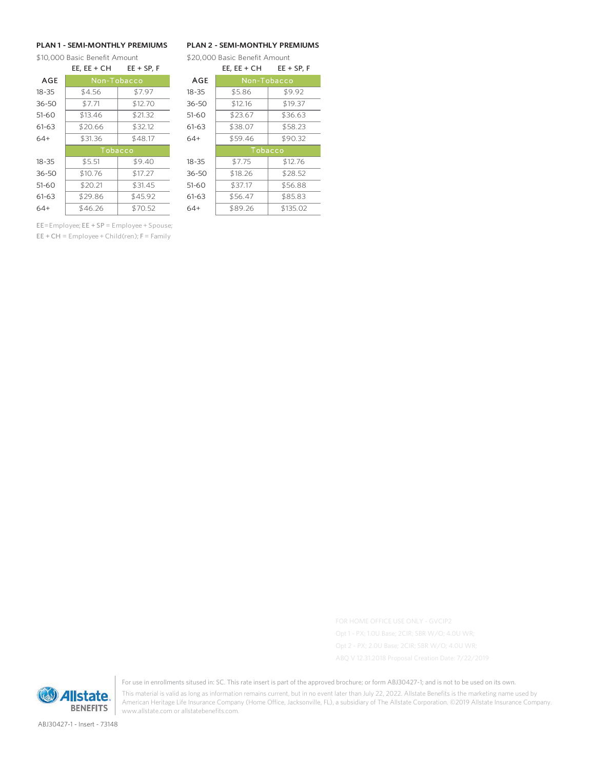#### **PLAN 1 - SEMI-MONTHLY PREMIUMS PLAN 2 - SEMI-MONTHLY PREMIUMS**

\$10,000 Basic Benefit Amount \$20,000 Basic Benefit Amount<br>EE, EE + CH EE + SP, F EE, EE + CH EE + EE,  $EE + CH$ 

| <b>AGE</b> | Non-Tobacco |         | <b>AGE</b> | Non-Tobacco |          |
|------------|-------------|---------|------------|-------------|----------|
| $18 - 35$  | \$4.56      | \$7.97  | $18 - 35$  | \$5.86      | \$9.92   |
| $36 - 50$  | \$7.71      | \$12.70 | $36 - 50$  | \$12.16     | \$19.37  |
| $51 - 60$  | \$13.46     | \$21.32 | $51 - 60$  | \$23.67     | \$36.63  |
| $61 - 63$  | \$20.66     | \$32.12 | 61-63      | \$38.07     | \$58.23  |
| $64+$      | \$31.36     | \$48.17 | $64+$      | \$59.46     | \$90.32  |
|            | Tobacco     |         |            | Tobacco     |          |
| $18 - 35$  | \$5.51      | \$9.40  | $18 - 35$  | \$7.75      | \$12.76  |
| $36 - 50$  | \$10.76     | \$17.27 | $36 - 50$  | \$18.26     | \$28.52  |
| $51 - 60$  | \$20.21     | \$31.45 | $51 - 60$  | \$37.17     | \$56.88  |
| $61 - 63$  | \$29.86     | \$45.92 | 61-63      | \$56.47     | \$85.83  |
| $64+$      | \$46.26     | \$70.52 | $64+$      | \$89.26     | \$135.02 |

|    | EE, EE + CH | $EE + SP, F$ |  |
|----|-------------|--------------|--|
| ìЕ | Non-Tobacco |              |  |
| 5  | \$5.86      | \$9.92       |  |
| 0  | \$12.16     | \$19.37      |  |
| С  | \$23.67     | \$36.63      |  |
| 3  | \$38.07     | \$58.23      |  |
|    | \$59.46     | \$90.32      |  |
|    | Tobacco     |              |  |
| 5  | \$7.75      | \$12.76      |  |
| Ω  | \$18.26     | \$28.52      |  |
| С  | \$37.17     | \$56.88      |  |
| 3  | \$56.47     | \$85.83      |  |
|    | \$89.26     | \$135.02     |  |

EE=Employee; EE + SP = Employee + Spouse;  $EE + CH = Employee + Child(ren); F = Family$ 

**Allstate BENEFITS**  For use in enrollments sitused in: SC. This rate insert is part of the approved brochure; or form ABJ30427-1; and is not to be used on its own.

This material is valid as long as information remains current, but in no event later than July 22, 2022. Allstate Benefits is the marketing name used by American Heritage Life Insurance Company (Home Office, Jacksonville, FL), a subsidiary of The Allstate Corporation. ©2019 Allstate Insurance Company. www.allstate.com or allstatebenefits.com.

ABJ30427-1 - Insert - 73148